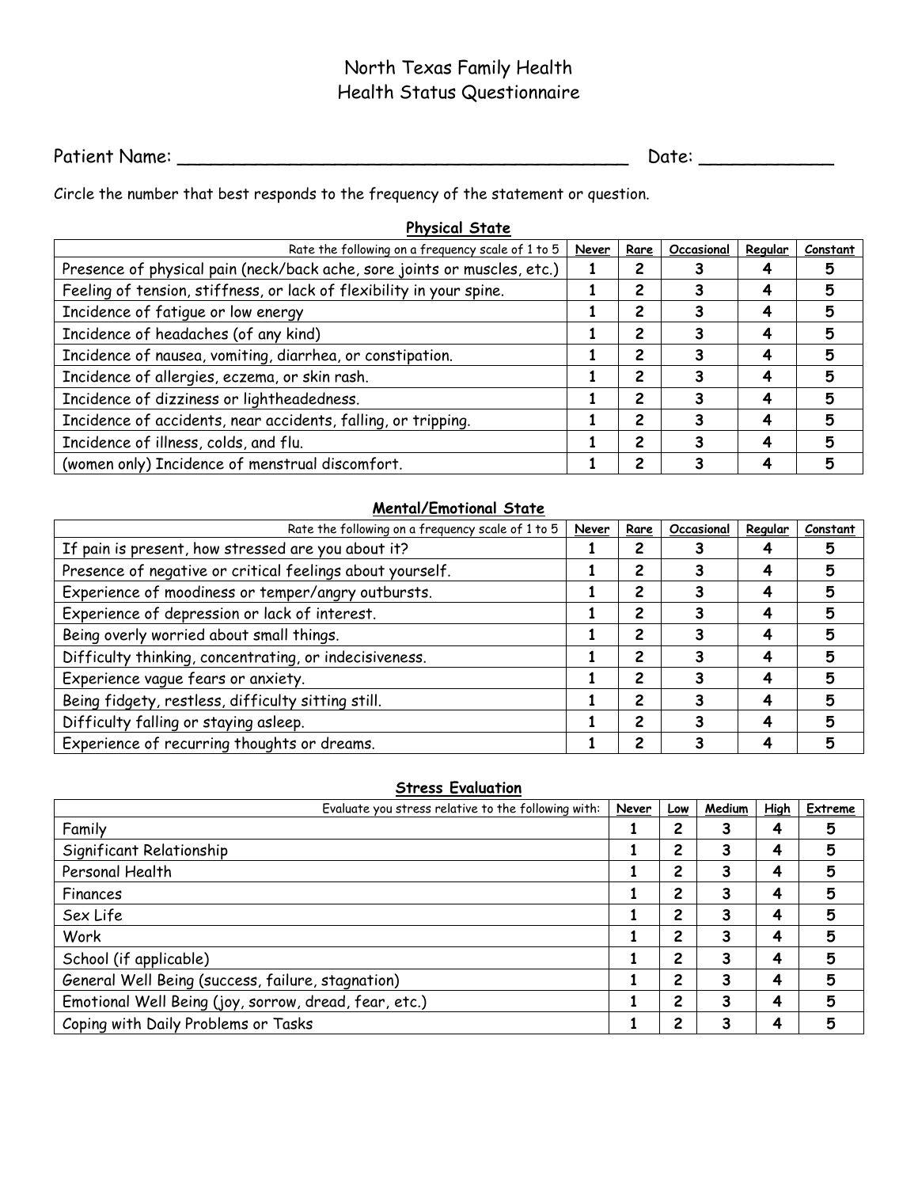# North Texas Family Health Health Status Questionnaire

Patient Name: \_\_\_\_\_\_\_\_\_\_\_\_\_\_\_\_\_\_\_\_\_\_\_\_\_\_\_\_\_\_\_\_\_\_\_\_\_\_\_\_ Date: \_\_\_\_\_\_\_\_\_\_\_\_

Circle the number that best responds to the frequency of the statement or question.

| <b>Physical State</b>                                                    |  |      |            |         |          |  |  |
|--------------------------------------------------------------------------|--|------|------------|---------|----------|--|--|
| Rate the following on a frequency scale of 1 to 5<br>Never               |  | Rare | Occasional | Regular | Constant |  |  |
| Presence of physical pain (neck/back ache, sore joints or muscles, etc.) |  |      |            |         |          |  |  |
| Feeling of tension, stiffness, or lack of flexibility in your spine.     |  | 2    |            | 4       | 5        |  |  |
| Incidence of fatique or low energy                                       |  | 2    |            | 4       | 5        |  |  |
| Incidence of headaches (of any kind)                                     |  | 2    |            | 4       | 5        |  |  |
| Incidence of nausea, vomiting, diarrhea, or constipation.                |  | 2    |            |         | 5        |  |  |
| Incidence of allergies, eczema, or skin rash.                            |  | 2    |            | 4       | 5        |  |  |
| Incidence of dizziness or lightheadedness.                               |  | 2    |            |         | 5        |  |  |
| Incidence of accidents, near accidents, falling, or tripping.            |  | 2    |            |         | 5        |  |  |
| Incidence of illness, colds, and flu.                                    |  | 2    |            | 4       | 5        |  |  |
| (women only) Incidence of menstrual discomfort.                          |  | 2    |            |         | 5        |  |  |

#### **Mental/Emotional State**

| Rate the following on a frequency scale of 1 to 5         | Never | Rare           | Occasional | Regular | Constant |
|-----------------------------------------------------------|-------|----------------|------------|---------|----------|
| If pain is present, how stressed are you about it?        |       |                |            |         |          |
| Presence of negative or critical feelings about yourself. |       | 2              |            |         |          |
| Experience of moodiness or temper/angry outbursts.        |       | 2              |            | 4       | 5        |
| Experience of depression or lack of interest.             |       | 2              |            |         | 5        |
| Being overly worried about small things.                  |       | $\overline{c}$ |            |         |          |
| Difficulty thinking, concentrating, or indecisiveness.    |       | 2              |            |         |          |
| Experience vague fears or anxiety.                        |       | 2              |            |         | Б,       |
| Being fidgety, restless, difficulty sitting still.        |       | 2              |            | Δ       | 5        |
| Difficulty falling or staying asleep.                     |       | 2              |            |         | 5        |
| Experience of recurring thoughts or dreams.               |       | 2              |            |         |          |

### **Stress Evaluation**

| Evaluate you stress relative to the following with:   | Never | Low | Medium | <b>High</b> | Extreme |
|-------------------------------------------------------|-------|-----|--------|-------------|---------|
| Family                                                |       | 2   | 3      | 4           | 5       |
| Significant Relationship                              |       | 2   | 3      | 4           | 5       |
| Personal Health                                       |       | 2   | 3      | 4           | 5       |
| Finances                                              |       | 2   | 3      | 4           | 5       |
| Sex Life                                              |       | 2   | 3      | 4           | 5       |
| Work                                                  |       | 2   | 3      | 4           | 5       |
| School (if applicable)                                |       | 2   | 3      | 4           | 5       |
| General Well Being (success, failure, stagnation)     |       | 2   | 3      | 4           | 5       |
| Emotional Well Being (joy, sorrow, dread, fear, etc.) |       | 2   | 3      | 4           | 5       |
| Coping with Daily Problems or Tasks                   |       | 2   | 3      |             | 5       |